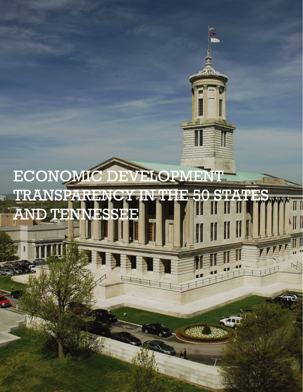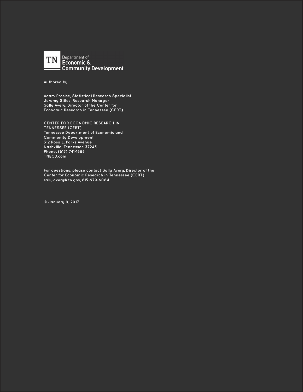

**Authored by**

**Adam Prosise, Statistical Research Specialist Jeremy Stiles, Research Manager Sally Avery, Director of the Center for Economic Research in Tennessee (CERT)**

**CENTER FOR ECONOMIC RESEARCH IN TENNESSEE (CERT) Tennessee Department of Economic and Community Development 312 Rosa L. Parks Avenue Nashville, Tennessee 37243 Phone: (615) 741-1888 TNECD.com**

**For questions, please contact Sally Avery, Director of the Center for Economic Research in Tennessee (CERT) sally.avery@tn.gov, 615-979-6064**

**© January 9, 2017**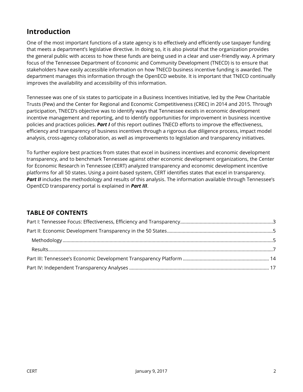## **Introduction**

One of the most important functions of a state agency is to effectively and efficiently use taxpayer funding that meets a department's legislative directive. In doing so, it is also pivotal that the organization provides the general public with access to how these funds are being used in a clear and user-friendly way. A primary focus of the Tennessee Department of Economic and Community Development (TNECD) is to ensure that stakeholders have easily accessible information on how TNECD business incentive funding is awarded. The department manages this information through the OpenECD website. It is important that TNECD continually improves the availability and accessibility of this information.

Tennessee was one of six states to participate in a Business Incentives Initiative, led by the Pew Charitable Trusts (Pew) and the Center for Regional and Economic Competitiveness (CREC) in 2014 and 2015. Through participation, TNECD's objective was to identify ways that Tennessee excels in economic development incentive management and reporting, and to identify opportunities for improvement in business incentive policies and practices policies. *Part I* of this report outlines TNECD efforts to improve the effectiveness, efficiency and transparency of business incentives through a rigorous due diligence process, impact model analysis, cross-agency collaboration, as well as improvements to legislation and transparency initiatives.

To further explore best practices from states that excel in business incentives and economic development transparency, and to benchmark Tennessee against other economic development organizations, the Center for Economic Research in Tennessee (CERT) analyzed transparency and economic development incentive platforms for all 50 states. Using a point-based system, CERT identifies states that excel in transparency. Part II includes the methodology and results of this analysis. The information available through Tennessee's OpenECD transparency portal is explained in *Part III*.

## **TABLE OF CONTENTS**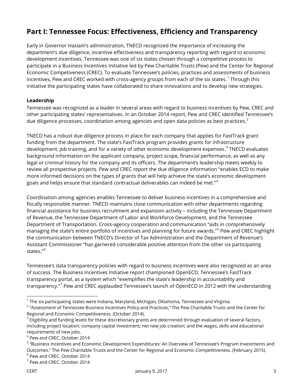# <span id="page-3-0"></span>**Part I: Tennessee Focus: Effectiveness, Efficiency and Transparency**

Early in Governor Haslam's administration, TNECD recognized the importance of increasing the department's due diligence, incentive effectiveness and transparency reporting with regard to economic development incentives. Tennessee was one of six states chosen through a competitive process to participate in a Business Incentives Initiative led by Pew Charitable Trusts (Pew) and the Center for Regional Economic Competiveness (CREC). To evaluate Tennessee's policies, practices and assessments of business incentives, Pew and CREC worked with cross-agency groups from each of the six states. $^{\rm 1}$  $^{\rm 1}$  $^{\rm 1}$  Through this initiative the participating states have collaborated to share innovations and to develop new strategies.

#### **Leadership**

Tennessee was recognized as a leader in several areas with regard to business incentives by Pew, CREC and other participating states' representatives. In an October 2014 report, Pew and CREC identified Tennessee's due diligence processes, coordination among agencies and open data policies as best practices.<sup>[2](#page-3-2)</sup>

TNECD has a robust due diligence process in place for each company that applies for FastTrack grant funding from the department. The state's FastTrack program provides grants for infrastructure development, job training, and for a variety of other economic development expenses.<sup>[3](#page-3-3)</sup> TNECD evaluates background information on the applicant company, project scope, financial performance, as well as any legal or criminal history for the company and its officers. The department's leadership meets weekly to review all prospective projects. Pew and CREC report the due diligence information "enables ECD to make more informed decisions on the types of grants that will help achieve the state's economic development goals and helps ensure that standard contractual deliverables can indeed be met."<sup>[4](#page-3-4)</sup>

Coordination among agencies enables Tennessee to deliver business incentives in a comprehensive and fiscally responsible manner. TNECD maintains close communication with other departments regarding financial assistance for business recruitment and expansion activity – including the Tennessee Department of Revenue, the Tennessee Department of Labor and Workforce Development, and the Tennessee Department of Transportation. Cross-agency cooperation and communication "aids in comprehensively managing the state's entire portfolio of incentives and planning for future awards."[5](#page-3-5) Pew and CREC highlight the communication between TNECD's Director of Tax Administration and the Department of Revenue's Assistant Commissioner "has garnered considerable positive attention from the other six participating states." [6](#page-3-6)

Tennessee's data transparency policies with regard to business incentives were also recognized as an area of success. The Business Incentives Initiative report championed OpenECD, Tennessee's FastTrack transparency portal, as a system which "exemplifies the state's leadership in accountability and transparency."[7](#page-3-7) Pew and CREC applauded Tennessee's launch of OpenECD in 2012 with the understanding

<span id="page-3-1"></span>j  $1$  The six participating states were Indiana, Maryland, Michigan, Oklahoma, Tennessee and Virginia.

<span id="page-3-2"></span><sup>&</sup>lt;sup>2</sup> "Assessment of Tennessee Business Incentives Policy and Practices," The Pew Charitable Trusts and the Center for Regional and Economic Competitiveness. (October 2014).

<span id="page-3-3"></span> $3$  Eligibility and funding levels for these discretionary grants are determined through evaluation of several factors, including project location; company capital investment; net new job creation; and the wages, skills and educational requirements of new jobs. 4 Pew and CREC, October 2014

<span id="page-3-4"></span>

<span id="page-3-5"></span><sup>5</sup> "Business Incentives and Economic Development Expenditures: An Overview of Tennessee's Program Investments and Outcomes," The Pew Charitable Trusts and the Center for Regional and Economic Competitiveness. (February 2015).

<span id="page-3-6"></span><sup>&</sup>lt;sup>6</sup> Pew and CREC, October 2014

<span id="page-3-7"></span><sup>7</sup> Pew and CREC, October 2014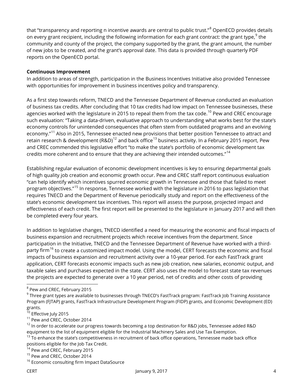that "transparency and reporting n incentive awards are central to public trust."<sup>[8](#page-4-0)</sup> OpenECD provides details on every grant recipient, including the following information for each grant contract: the grant type, $^9$  $^9$  the community and county of the project, the company supported by the grant, the grant amount, the number of new jobs to be created, and the grant's approval date. This data is provided through quarterly PDF reports on the OpenECD portal.

#### **Continuous Improvement**

In addition to areas of strength, participation in the Business Incentives Initiative also provided Tennessee with opportunities for improvement in business incentives policy and transparency.

As a first step towards reform, TNECD and the Tennessee Department of Revenue conducted an evaluation of business tax credits. After concluding that 10 tax credits had low impact on Tennessee businesses, these agencies worked with the legislature in 2015 to repeal them from the tax code.<sup>[10](#page-4-2)</sup> Pew and CREC encourage such evaluation: "Taking a data-driven, evaluative approach to understanding what works best for the state's economy controls for unintended consequences that often stem from outdated programs and an evolving economy."<sup>[11](#page-4-3)</sup> Also in 2015, Tennessee enacted new provisions that better position Tennessee to attract and retain research & development (R&D)<sup>[12](#page-4-4)</sup> and back office<sup>[13](#page-4-5)</sup> business activity. In a February 2015 report, Pew and CREC commended this legislative effort "to make the state's portfolio of economic development tax credits more coherent and to ensure that they are achieving their intended outcomes."<sup>[14](#page-4-6)</sup>

Establishing regular evaluation of economic development incentives is key to ensuring departmental goals of high quality job creation and economic growth occur. Pew and CREC staff report continuous evaluation "can help identify which incentives spurred economic growth in Tennessee and those that failed to meet program objectives."[15](#page-4-7) In response, Tennessee worked with the legislature in 2016 to pass legislation that requires TNECD and the Department of Revenue periodically study and report on the effectiveness of the state's economic development tax incentives. This report will assess the purpose, projected impact and effectiveness of each credit. The first report will be presented to the legislature in January 2017 and will then be completed every four years.

In addition to legislative changes, TNECD identified a need for measuring the economic and fiscal impacts of business expansion and recruitment projects which receive incentives from the department. Since participation in the Initiative, TNECD and the Tennessee Department of Revenue have worked with a third-party firm<sup>[16](#page-4-8)</sup> to create a customized impact model. Using the model, CERT forecasts the economic and fiscal impacts of business expansion and recruitment activity over a 10-year period. For each FastTrack grant application, CERT forecasts economic impacts such as new job creation, new salaries, economic output, and taxable sales and purchases expected in the state. CERT also uses the model to forecast state tax revenues the projects are expected to generate over a 10 year period, net of credits and other costs of providing

<span id="page-4-0"></span> $^8$  Pew and CREC, February 2015

<span id="page-4-1"></span><sup>&</sup>lt;sup>9</sup> Three grant types are available to businesses through TNECD's FastTrack program: FastTrack Job Training Assistance Program (FJTAP) grants, FastTrack Infrastructure Development Program (FIDP) grants, and Economic Development (ED) grants.

<span id="page-4-2"></span> $10$  Effective July 2015

<span id="page-4-3"></span><sup>&</sup>lt;sup>11</sup> Pew and CREC, October 2014

<span id="page-4-4"></span><sup>&</sup>lt;sup>12</sup> In order to accelerate our progress towards becoming a top destination for R&D jobs, Tennessee added R&D equipment to the list of equipment eligible for the Industrial Machinery Sales and Use Tax Exemption.

<span id="page-4-5"></span> $^{13}$  To enhance the state's competitiveness in recruitment of back office operations, Tennessee made back office positions eligible for the Job Tax Credit.

<span id="page-4-6"></span><sup>&</sup>lt;sup>14</sup> Pew and CREC, February 2015

<span id="page-4-7"></span><sup>&</sup>lt;sup>15</sup> Pew and CREC, October 2014

<span id="page-4-8"></span><sup>&</sup>lt;sup>16</sup> Economic consulting firm Impact DataSource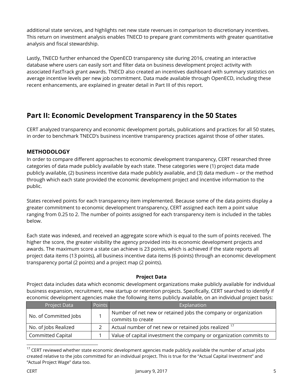additional state services, and highlights net new state revenues in comparison to discretionary incentives. This return on investment analysis enables TNECD to prepare grant commitments with greater quantitative analysis and fiscal stewardship.

Lastly, TNECD further enhanced the OpenECD transparency site during 2016, creating an interactive database where users can easily sort and filter data on business development project activity with associated FastTrack grant awards. TNECD also created an incentives dashboard with summary statistics on average incentive levels per new job commitment. Data made available through OpenECD, including these recent enhancements, are explained in greater detail in Part III of this report.

# <span id="page-5-0"></span>**Part II: Economic Development Transparency in the 50 States**

CERT analyzed transparency and economic development portals, publications and practices for all 50 states, in order to benchmark TNECD's business incentive transparency practices against those of other states.

## <span id="page-5-1"></span>**METHODOLOGY**

In order to compare different approaches to economic development transparency, CERT researched three categories of data made publicly available by each state. These categories were (1) project data made publicly available, (2) business incentive data made publicly available, and (3) data medium – or the method through which each state provided the economic development project and incentive information to the public.

States received points for each transparency item implemented. Because some of the data points display a greater commitment to economic development transparency, CERT assigned each item a point value ranging from 0.25 to 2. The number of points assigned for each transparency item is included in the tables below.

Each state was indexed, and received an aggregate score which is equal to the sum of points received. The higher the score, the greater visibility the agency provided into its economic development projects and awards. The maximum score a state can achieve is 23 points, which is achieved if the state reports all project data items (13 points), all business incentive data items (6 points) through an economic development transparency portal (2 points) and a project map (2 points).

#### **Project Data**

Project data includes data which economic development organizations make publicly available for individual business expansion, recruitment, new startup or retention projects. Specifically, CERT searched to identify if economic development agencies make the following items publicly available, on an individual project basis:

| Project Data             | Points | Explanation                                                                         |
|--------------------------|--------|-------------------------------------------------------------------------------------|
| No. of Committed Jobs    |        | Number of net new or retained jobs the company or organization<br>commits to create |
| No. of Jobs Realized     |        | Actual number of net new or retained jobs realized 1/                               |
| <b>Committed Capital</b> |        | Value of capital investment the company or organization commits to                  |

<span id="page-5-2"></span><sup>&</sup>lt;sup>17</sup> CERT reviewed whether state economic development agencies made publicly available the number of actual jobs created relative to the jobs committed for an individual project. This is true for the "Actual Capital Investment" and "Actual Project Wage" data too.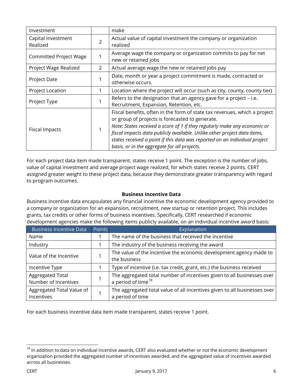| Investment                                                                                 |                | make                                                                                                                                                                                                                                                                                                                                                                                                                |  |  |
|--------------------------------------------------------------------------------------------|----------------|---------------------------------------------------------------------------------------------------------------------------------------------------------------------------------------------------------------------------------------------------------------------------------------------------------------------------------------------------------------------------------------------------------------------|--|--|
| Capital Investment<br>Realized                                                             | $\overline{2}$ | Actual value of capital investment the company or organization<br>realized                                                                                                                                                                                                                                                                                                                                          |  |  |
| <b>Committed Project Wage</b>                                                              | 1              | Average wage the company or organization commits to pay for net<br>new or retained jobs                                                                                                                                                                                                                                                                                                                             |  |  |
| Project Wage Realized<br>Actual average wage the new or retained jobs pay<br>$\mathcal{P}$ |                |                                                                                                                                                                                                                                                                                                                                                                                                                     |  |  |
| <b>Project Date</b>                                                                        | 1              | Date, month or year a project commitment is made, contracted or<br>otherwise occurs.                                                                                                                                                                                                                                                                                                                                |  |  |
| <b>Project Location</b>                                                                    |                | Location where the project will occur (such as city, county, county tier)                                                                                                                                                                                                                                                                                                                                           |  |  |
| Project Type                                                                               |                | Refers to the designation that an agency gave for a project – i.e.<br>Recruitment, Expansion, Retention, etc.                                                                                                                                                                                                                                                                                                       |  |  |
| Fiscal Impacts                                                                             |                | Fiscal benefits, often in the form of state tax revenues, which a project<br>or group of projects is forecasted to generate.<br>Note: States received a score of 1 if they regularly make any economic or<br>fiscal impacts data publicly available. Unlike other project data items,<br>states received a point if this data was reported on an individual project<br>basis, or in the aggregate for all projects. |  |  |

For each project data item made transparent, states receive 1 point. The exception is the number of jobs, value of capital investment and average project wage realized, for which states receive 2 points. CERT assigned greater weight to these project data, because they demonstrate greater transparency with regard to program outcomes.

#### **Business Incentive Data**

Business incentive data encapsulates any financial incentive the economic development agency provided to a company or organization for an expansion, recruitment, new startup or retention project. This includes grants, tax credits or other forms of business incentives. Specifically, CERT researched if economic development agencies make the following items publicly available, on an individual incentive award basis:

| <b>Business Incentive Data</b>           | Points | Explanation                                                                                              |  |  |  |  |
|------------------------------------------|--------|----------------------------------------------------------------------------------------------------------|--|--|--|--|
| Name                                     |        | The name of the business that received the incentive                                                     |  |  |  |  |
| Industry                                 |        | The industry of the business receiving the award                                                         |  |  |  |  |
| Value of the Incentive                   |        | The value of the incentive the economic development agency made to<br>the business                       |  |  |  |  |
| Incentive Type                           |        | Type of incentive (i.e. tax credit, grant, etc.) the business received                                   |  |  |  |  |
| Aggregated Total<br>Number of Incentives |        | The aggregated total number of incentives given to all businesses over<br>a period of time <sup>18</sup> |  |  |  |  |
| Aggregated Total Value of<br>Incentives  |        | The aggregated total value of all incentives given to all businesses over<br>a period of time            |  |  |  |  |

For each business incentive data item made transparent, states receive 1 point.

<span id="page-6-0"></span> $18$  In addition to data on individual incentive awards, CERT also evaluated whether or not the economic development organization provided the aggregated number of incentives awarded, and the aggregated value of incentives awarded across all businesses.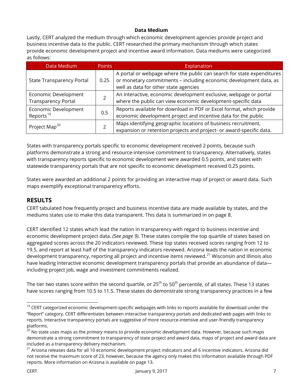#### **Data Medium**

Lastly, CERT analyzed the medium through which economic development agencies provide project and business incentive data to the public. CERT researched the primary mechanism through which states provide economic development project and incentive award information. Data mediums were categorized as follows:

| Data Medium                                        | <b>Points</b> | Explanation                                                                                                                                                                          |
|----------------------------------------------------|---------------|--------------------------------------------------------------------------------------------------------------------------------------------------------------------------------------|
| <b>State Transparency Portal</b>                   | 0.25          | A portal or webpage where the public can search for state expenditures<br>or monetary commitments - including economic development data, as<br>well as data for other state agencies |
| Economic Development<br><b>Transparency Portal</b> |               | An interactive, economic development exclusive, webpage or portal<br>where the public can view economic development-specific data                                                    |
| Economic Development<br>Reports <sup>19</sup>      | 0.5           | Reports available for download in PDF or Excel format, which provide<br>economic development project and incentive data for the public                                               |
| Project Map <sup>20</sup>                          |               | Maps identifying geographic locations of business recruitment,<br>expansion or retention projects and project- or award-specific data.                                               |

<span id="page-7-0"></span>States with transparency portals specific to economic development received 2 points, because such platforms demonstrate a strong and resource-intensive commitment to transparency. Alternatively, states with transparency reports specific to economic development were awarded 0.5 points, and states with statewide transparency portals that are not specific to economic development received 0.25 points.

States were awarded an additional 2 points for providing an interactive map of project or award data. Such maps exemplify exceptional transparency efforts.

### **RESULTS**

CERT tabulated how frequently project and business incentive data are made available by states, and the mediums states use to make this data transparent. This data is summarized in on page 8.

CERT identified 12 states which lead the nation in transparency with regard to business incentive and economic development project data. *(See page 9).* These states compile the top quartile of states based on aggregated scores across the 20 indicators reviewed. These top states received scores ranging from 12 to 19.5, and report at least half of the transparency indicators reviewed. Arizona leads the nation in economic development transparency, reporting all project and incentive items reviewed.<sup>[21](#page-7-3)</sup> Wisconsin and Illinois also have leading interactive economic development transparency portals that provide an abundance of data including project job, wage and investment commitments realized.

The tier two states score within the second quartile, or  $25<sup>th</sup>$  to  $50<sup>th</sup>$  percentile, of all states. These 13 states have scores ranging from 10.5 to 11.5. These states do demonstrate strong transparency practices in a few

<span id="page-7-1"></span><sup>&</sup>lt;sup>19</sup> CERT categorized economic development-specific webpages with links to reports available for download under the "Report" category. CERT differentiates between interactive transparency portals and dedicated web pages with links to reports. Interactive transparency portals are suggestive of more resource-intensive and user-friendly transparency platforms.

<span id="page-7-2"></span><sup>20</sup> No state uses maps as the *primary* means to provide economic development data. However, because such maps demonstrate a strong commitment to transparency of state project and award data, maps of project and award data are included as a transparency delivery mechanism.

<span id="page-7-3"></span> $21$  Arizona releases data for all 10 economic development project indicators and all 6 incentive indicators. Arizona did not receive the maximum score of 23, however, because the agency only makes this information available through PDF reports. More information on Arizona is available on page 13.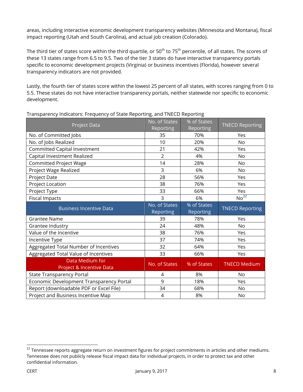areas, including interactive economic development transparency websites (Minnesota and Montana), fiscal impact reporting (Utah and South Carolina), and actual job creation (Colorado).

The third tier of states score within the third quartile, or  $50^{th}$  to  $75^{th}$  percentile, of all states. The scores of these 13 states range from 6.5 to 9.5. Two of the tier 3 states do have interactive transparency portals specific to economic development projects (Virginia) or business incentives (Florida), however several transparency indicators are not provided.

Lastly, the fourth tier of states score within the lowest 25 percent of all states, with scores ranging from 0 to 5.5. These states do not have interactive transparency portals, neither statewide nor specific to economic development.

| <b>Project Data</b>                         | No. of States<br>Reporting | % of States<br>Reporting | <b>TNECD Reporting</b> |
|---------------------------------------------|----------------------------|--------------------------|------------------------|
| No. of Committed Jobs                       | 35                         | 70%                      | Yes                    |
| No. of Jobs Realized                        | 10                         | 20%                      | <b>No</b>              |
| Committed Capital Investment                | 21                         | 42%                      | Yes                    |
| Capital Investment Realized                 | $\overline{2}$             | 4%                       | <b>No</b>              |
| <b>Committed Project Wage</b>               | 14                         | 28%                      | <b>No</b>              |
| Project Wage Realized                       | 3                          | 6%                       | No                     |
| Project Date                                | 28                         | 56%                      | Yes                    |
| Project Location                            | 38                         | 76%                      | Yes                    |
| Project Type                                | 33                         | 66%                      | Yes                    |
| <b>Fiscal Impacts</b>                       | 3                          | 6%                       | $No^{22}$              |
| <b>Business Incentive Data</b>              | No. of States<br>Reporting | % of States<br>Reporting | <b>TNECD Reporting</b> |
| <b>Grantee Name</b>                         | 39                         | 78%                      | Yes                    |
| Grantee Industry                            | 24                         | 48%                      | <b>No</b>              |
| Value of the Incentive                      | 38                         | 76%                      | Yes                    |
| Incentive Type                              | 37                         | 74%                      | Yes                    |
| Aggregated Total Number of Incentives       | 32                         | 64%                      | Yes                    |
| Aggregated Total Value of Incentives        | 33                         | 66%                      | Yes                    |
| Data Medium for<br>Project & Incentive Data | No. of States              | % of States              | <b>TNECD Medium</b>    |
| <b>State Transparency Portal</b>            | $\overline{4}$             | 8%                       | <b>No</b>              |
| Economic Development Transparency Portal    | 9                          | 18%                      | Yes                    |
| Report (downloadable PDF or Excel File)     | 34                         | 68%                      | <b>No</b>              |
| Project and Business Incentive Map          | $\overline{4}$             | 8%                       | No                     |

Transparency Indicators: Frequency of State Reporting, and TNECD Reporting

<span id="page-8-0"></span><sup>-</sup><sup>22</sup> Tennessee reports aggregate return on investment figures for project commitments in articles and other mediums. Tennessee does not publicly release fiscal impact data for individual projects, in order to protect tax and other confidential information.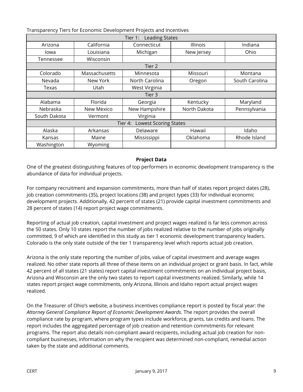| Transparency Tiers for Economic Development Projects and Incentives |
|---------------------------------------------------------------------|
|---------------------------------------------------------------------|

| <b>Leading States</b><br>Tier 1:        |               |                |                 |                |  |  |  |  |
|-----------------------------------------|---------------|----------------|-----------------|----------------|--|--|--|--|
| Arizona                                 | California    | Connecticut    | <b>Illinois</b> | Indiana        |  |  |  |  |
| lowa                                    | Louisiana     | Michigan       | New Jersey      | Ohio           |  |  |  |  |
| Tennessee                               | Wisconsin     |                |                 |                |  |  |  |  |
|                                         | Tier 2        |                |                 |                |  |  |  |  |
| Colorado                                | Massachusetts | Minnesota      | Missouri        | Montana        |  |  |  |  |
| Nevada                                  | New York      | North Carolina | Oregon          | South Carolina |  |  |  |  |
| Texas                                   | Utah          | West Virginia  |                 |                |  |  |  |  |
|                                         |               | Tier 3         |                 |                |  |  |  |  |
| Alabama                                 | Florida       | Georgia        | Kentucky        | Maryland       |  |  |  |  |
| Nebraska                                | New Mexico    | New Hampshire  | North Dakota    | Pennsylvania   |  |  |  |  |
| South Dakota                            | Vermont       | Virginia       |                 |                |  |  |  |  |
| <b>Lowest Scoring States</b><br>Tier 4: |               |                |                 |                |  |  |  |  |
| Alaska                                  | Arkansas      | Delaware       | Hawaii          | Idaho          |  |  |  |  |
| Kansas                                  | Maine         | Mississippi    | Oklahoma        | Rhode Island   |  |  |  |  |
| Washington                              | Wyoming       |                |                 |                |  |  |  |  |

#### **Project Data**

One of the greatest distinguishing features of top performers in economic development transparency is the abundance of data for individual projects.

For company recruitment and expansion commitments, more than half of states report project dates (28), job creation commitments (35), project locations (38) and project types (33) for individual economic development projects. Additionally, 42 percent of states (21) provide capital investment commitments and 28 percent of states (14) report project wage commitments.

Reporting of actual job creation, capital investment and project wages realized is far less common across the 50 states. Only 10 states report the number of jobs realized relative to the number of jobs originally committed, 9 of which are identified in this study as tier 1 economic development transparency leaders. Colorado is the only state outside of the tier 1 transparency level which reports actual job creation.

Arizona is the only state reporting the number of jobs, value of capital investment and average wages realized. No other state reports all three of these items on an individual project or grant basis. In fact, while 42 percent of all states (21 states) report capital investment commitments on an individual project basis, Arizona and Wisconsin are the only two states to report capital investments realized. Similarly, while 14 states report project wage commitments, only Arizona, Illinois and Idaho report actual project wages realized.

On the Treasurer of Ohio's website, a business incentives compliance report is posted by fiscal year: the *Attorney General Compliance Report of Economic Development Awards*. The report provides the overall compliance rate by program, where program types include workforce, grants, tax credits and loans. The report includes the aggregated percentage of job creation and retention commitments for relevant programs. The report also details non-compliant award recipients, including actual job creation for noncompliant businesses, information on why the recipient was determined non-compliant, remedial action taken by the state and additional comments.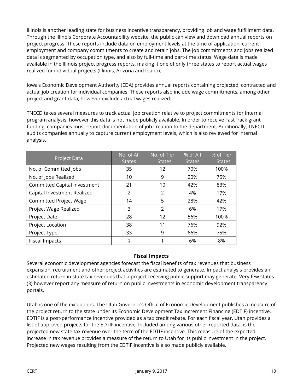Illinois is another leading state for business incentive transparency, providing job and wage fulfillment data. Through the Illinois Corporate Accountability website, the public can view and download annual reports on project progress. These reports include data on employment levels at the time of application, current employment and company commitments to create and retain jobs. The job commitments and jobs realized data is segmented by occupation type, and also by full-time and part-time status. Wage data is made available in the Illinois project progress reports, making it one of only three states to report actual wages realized for individual projects (Illinois, Arizona and Idaho).

Iowa's Economic Development Authority (EDA) provides annual reports containing projected, contracted and actual job creation for individual companies. These reports also include wage commitments, among other project and grant data, however exclude actual wages realized.

TNECD takes several measures to track actual job creation relative to project commitments for internal program analysis; however this data is not made publicly available. In order to receive FastTrack grant funding, companies must report documentation of job creation to the department. Additionally, TNECD audits companies annually to capture current employment levels, which is also reviewed for internal analysis.

| <b>Project Data</b>           | No. of All<br><b>States</b> | No. of Tier<br>1 States | % of All<br><b>States</b> | % of Tier<br>1 States |
|-------------------------------|-----------------------------|-------------------------|---------------------------|-----------------------|
| No. of Committed Jobs         | 35                          | 12                      | 70%                       | 100%                  |
| No. of Jobs Realized          | 10                          | 9                       | 20%                       | 75%                   |
| Committed Capital Investment  | 21                          | 10                      | 42%                       | 83%                   |
| Capital Investment Realized   | 2                           | 2                       | 4%                        | 17%                   |
| <b>Committed Project Wage</b> | 14                          | 5                       | 28%                       | 42%                   |
| Project Wage Realized         | 3                           | $\overline{2}$          | 6%                        | 17%                   |
| <b>Project Date</b>           | 28                          | 12                      | 56%                       | 100%                  |
| Project Location              | 38                          | 11                      | 76%                       | 92%                   |
| Project Type                  | 33                          | 9                       | 66%                       | 75%                   |
| <b>Fiscal Impacts</b>         | 3                           |                         | 6%                        | 8%                    |

#### **Fiscal Impacts**

Several economic development agencies forecast the fiscal benefits of tax revenues that business expansion, recruitment and other project activities are estimated to generate. Impact analysis provides an estimated return in state tax revenues that a project receiving public support may generate. Very few states (3) however report any measure of return on public investments in economic development transparency portals.

Utah is one of the exceptions. The Utah Governor's Office of Economic Development publishes a measure of the project return to the state under its Economic Development Tax Increment Financing (EDTIF) incentive. EDTIF is a post-performance incentive provided as a tax credit rebate. For each fiscal year, Utah provides a list of approved projects for the EDTIF incentive. Included among various other reported data, is the projected new state tax revenue over the term of the EDTIF incentive. This measure of the expected increase in tax revenue provides a measure of the return to Utah for its public investment in the project. Projected new wages resulting from the EDTIF incentive is also made publicly available.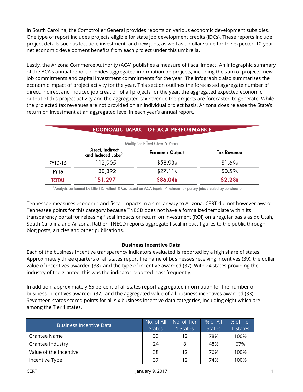In South Carolina, the Comptroller General provides reports on various economic development subsidies. One type of report includes projects eligible for state job development credits (JDCs). These reports include project details such as location, investment, and new jobs, as well as a dollar value for the expected 10-year net economic development benefits from each project under this umbrella.

Lastly, the Arizona Commerce Authority (ACA) publishes a measure of fiscal impact. An infographic summary of the ACA's annual report provides aggregated information on projects, including the sum of projects, new job commitments and capital investment commitments for the year. The infographic also summarizes the economic impact of project activity for the year. This section outlines the forecasted aggregate number of direct, indirect and induced job creation of all projects for the year, the aggregated expected economic output of this project activity and the aggregated tax revenue the projects are forecasted to generate. While the projected tax revenues are not provided on an individual project basis, Arizona does release the State's return on investment at an aggregated level in each year's annual report.

| ECONOMIC IMPACT OF ACA FERFORMANCE |                                                   |                                             |                     |  |  |
|------------------------------------|---------------------------------------------------|---------------------------------------------|---------------------|--|--|
|                                    |                                                   | Multiplier Effect Over 5 Years <sup>1</sup> |                     |  |  |
|                                    | Direct, Indirect<br>and Induced Jobs <sup>2</sup> | <b>Economic Output</b>                      | Tax Revenue         |  |  |
| FY13-15                            | 112,905                                           | \$58.93 <sub>B</sub>                        | \$1.69 <sub>B</sub> |  |  |
| FY16                               | 38,392                                            | \$27.11B                                    | \$0.59B             |  |  |
| <b>TOTAL</b>                       | 151,297                                           | \$86.04B                                    | \$2.28B             |  |  |

## ECONOMIC IMPACT OF ACA PERFORMANCE

<sup>1</sup> Analysis performed by Elliott D. Pollack & Co. based on ACA input; <sup>2</sup> Includes temporary jobs created by construction

Tennessee measures economic and fiscal impacts in a similar way to Arizona. CERT did not however award Tennessee points for this category because TNECD does not have a formalized template within its transparency portal for releasing fiscal impacts or return on investment (ROI) on a regular basis as do Utah, South Carolina and Arizona. Rather, TNECD reports aggregate fiscal impact figures to the public through blog posts, articles and other publications.

#### **Business Incentive Data**

Each of the business incentive transparency indicators evaluated is reported by a high share of states. Approximately three quarters of all states report the name of businesses receiving incentives (39), the dollar value of incentives awarded (38), and the type of incentive awarded (37). With 24 states providing the industry of the grantee, this was the indicator reported least frequently.

In addition, approximately 65 percent of all states report aggregated information for the number of business incentives awarded (32), and the aggregated value of all business incentives awarded (33). Seventeen states scored points for all six business incentive data categories, including eight which are among the Tier 1 states.

| <b>Business Incentive Data</b> | No. of All<br><b>States</b> | No. of Tier<br>1 States | % of All<br><b>States</b> | % of Tier<br><b>States</b> |
|--------------------------------|-----------------------------|-------------------------|---------------------------|----------------------------|
| Grantee Name                   | 39                          | 12                      | 78%                       | 100%                       |
| Grantee Industry               | 24                          |                         | 48%                       | 67%                        |
| Value of the Incentive         | 38                          | 12                      | 76%                       | 100%                       |
| Incentive Type                 | 37                          | 12                      | 74%                       | 100%                       |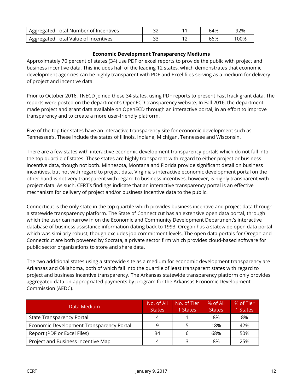| Aggregated Total Number of Incentives | ີ   | 64% | 92% |
|---------------------------------------|-----|-----|-----|
| Aggregated Total Value of Incentives  | ں ب | 66% | 00% |

#### **Economic Development Transparency Mediums**

Approximately 70 percent of states (34) use PDF or excel reports to provide the public with project and business incentive data. This includes half of the leading 12 states, which demonstrates that economic development agencies can be highly transparent with PDF and Excel files serving as a medium for delivery of project and incentive data.

Prior to October 2016, TNECD joined these 34 states, using PDF reports to present FastTrack grant data. The reports were posted on the department's OpenECD transparency website. In Fall 2016, the department made project and grant data available on OpenECD through an interactive portal, in an effort to improve transparency and to create a more user-friendly platform.

Five of the top tier states have an interactive transparency site for economic development such as Tennessee's. These include the states of Illinois, Indiana, Michigan, Tennessee and Wisconsin.

There are a few states with interactive economic development transparency portals which do not fall into the top quartile of states. These states are highly transparent with regard to either project or business incentive data, though not both. Minnesota, Montana and Florida provide significant detail on business incentives, but not with regard to project data. Virginia's interactive economic development portal on the other hand is not very transparent with regard to business incentives, however, is highly transparent with project data. As such, CERT's findings indicate that an interactive transparency portal is an effective mechanism for delivery of project and/or business incentive data to the public.

Connecticut is the only state in the top quartile which provides business incentive and project data through a statewide transparency platform. The State of Connecticut has an extensive open data portal, through which the user can narrow in on the Economic and Community Development Department's interactive database of business assistance information dating back to 1993. Oregon has a statewide open data portal which was similarly robust, though excludes job commitment levels. The open data portals for Oregon and Connecticut are both powered by Socrata, a private sector firm which provides cloud-based software for public sector organizations to store and share data.

The two additional states using a statewide site as a medium for economic development transparency are Arkansas and Oklahoma, both of which fall into the quartile of least transparent states with regard to project and business incentive transparency. The Arkansas statewide transparency platform only provides aggregated data on appropriated payments by program for the Arkansas Economic Development Commission (AEDC).

| Data Medium                              | No. of All<br><b>States</b> | No. of Tier<br>1 States | $%$ of All<br><b>States</b> | % of Tier<br><b>States</b> |
|------------------------------------------|-----------------------------|-------------------------|-----------------------------|----------------------------|
| <b>State Transparency Portal</b>         |                             |                         | 8%                          | 8%                         |
| Economic Development Transparency Portal |                             |                         | 18%                         | 42%                        |
| Report (PDF or Excel Files)              | 34                          | h                       | 68%                         | 50%                        |
| Project and Business Incentive Map       |                             |                         | 8%                          | 25%                        |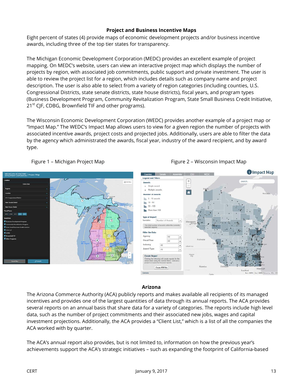#### **Project and Business Incentive Maps**

Eight percent of states (4) provide maps of economic development projects and/or business incentive awards, including three of the top tier states for transparency.

The Michigan Economic Development Corporation (MEDC) provides an excellent example of project mapping. On MEDC's website, users can view an interactive project map which displays the number of projects by region, with associated job commitments, public support and private investment. The user is able to review the project list for a region, which includes details such as company name and project description. The user is also able to select from a variety of region categories (including counties, U.S. Congressional Districts, state senate districts, state house districts), fiscal years, and program types (Business Development Program, Community Revitalization Program, State Small Business Credit Initiative,  $21^{st}$  CJF, CDBG, Brownfield TIF and other programs).

The Wisconsin Economic Development Corporation (WEDC) provides another example of a project map or "Impact Map." The WEDC's Impact Map allows users to view for a given region the number of projects with associated incentive awards, project costs and projected jobs. Additionally, users are able to filter the data by the agency which administrated the awards, fiscal year, industry of the award recipient, and by award type.





#### **Arizona**

The Arizona Commerce Authority (ACA) publicly reports and makes available all recipients of its managed incentives and provides one of the largest quantities of data through its annual reports. The ACA provides several reports on an annual basis that share data for a variety of categories. The reports include high level data, such as the number of project commitments and their associated new jobs, wages and capital investment projections. Additionally, the ACA provides a "Client List," which is a list of all the companies the ACA worked with by quarter.

The ACA's annual report also provides, but is not limited to, information on how the previous year's achievements support the ACA's strategic initiatives – such as expanding the footprint of California-based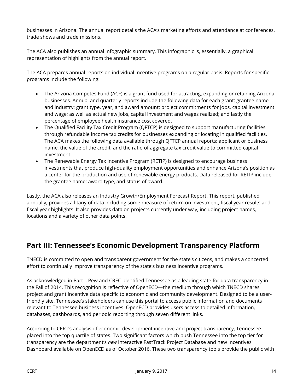businesses in Arizona. The annual report details the ACA's marketing efforts and attendance at conferences, trade shows and trade missions.

The ACA also publishes an annual infographic summary. This infographic is, essentially, a graphical representation of highlights from the annual report.

The ACA prepares annual reports on individual incentive programs on a regular basis. Reports for specific programs include the following:

- The Arizona Competes Fund (ACF) is a grant fund used for attracting, expanding or retaining Arizona businesses. Annual and quarterly reports include the following data for each grant: grantee name and industry; grant type, year, and award amount; project commitments for jobs, capital investment and wage; as well as actual new jobs, capital investment and wages realized; and lastly the percentage of employee health insurance cost covered.
- The Qualified Facility Tax Credit Program (QFTCP) is designed to support manufacturing facilities through refundable income tax credits for businesses expanding or locating in qualified facilities. The ACA makes the following data available through QFTCP annual reports: applicant or business name, the value of the credit, and the ratio of aggregate tax credit value to committed capital investment.
- The Renewable Energy Tax Incentive Program (RETIP) is designed to encourage business investments that produce high-quality employment opportunities and enhance Arizona's position as a center for the production and use of renewable energy products. Data released for RETIP include the grantee name; award type, and status of award.

Lastly, the ACA also releases an Industry Growth/Employment Forecast Report. This report, published annually, provides a litany of data including some measure of return on investment, fiscal year results and fiscal year highlights. It also provides data on projects currently under way, including project names, locations and a variety of other data points.

# <span id="page-14-0"></span>**Part III: Tennessee's Economic Development Transparency Platform**

TNECD is committed to open and transparent government for the state's citizens, and makes a concerted effort to continually improve transparency of the state's business incentive programs.

As acknowledged in Part I, Pew and CREC identified Tennessee as a leading state for data transparency in the Fall of 2014. This recognition is reflective of OpenECD—the medium through which TNECD shares project and grant incentive data specific to economic and community development. Designed to be a userfriendly site, Tennessee's stakeholders can use this portal to access public information and documents relevant to Tennessee business incentives. OpenECD provides users access to detailed information, databases, dashboards, and periodic reporting through seven different links.

According to CERT's analysis of economic development incentive and project transparency, Tennessee placed into the top quartile of states. Two significant factors which push Tennessee into the top tier for transparency are the department's *new* interactive FastTrack Project Database and new Incentives Dashboard available on OpenECD as of October 2016. These two transparency tools provide the public with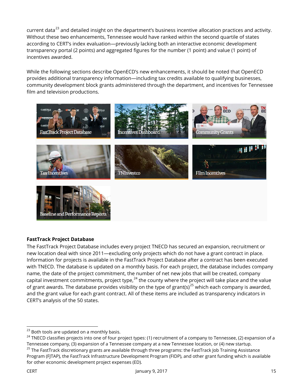current data<sup>[23](#page-15-0)</sup> and detailed insight on the department's business incentive allocation practices and activity. Without these two enhancements, Tennessee would have ranked within the second quartile of states according to CERT's index evaluation—previously lacking both an interactive economic development transparency portal (2 points) and aggregated figures for the number (1 point) and value (1 point) of incentives awarded.

While the following sections describe OpenECD's new enhancements, it should be noted that OpenECD provides additional transparency information—including tax credits available to qualifying businesses, community development block grants administered through the department, and incentives for Tennessee film and television productions.



#### **FastTrack Project Database**

The FastTrack Project Database includes every project TNECD has secured an expansion, recruitment or new location deal with since 2011—excluding only projects which do not have a grant contract in place. Information for projects is available in the FastTrack Project Database after a contract has been executed with TNECD. The database is updated on a monthly basis. For each project, the database includes company name, the date of the project commitment, the number of net new jobs that will be created, company capital investment commitments, project type, $^{24}$  $^{24}$  $^{24}$  the county where the project will take place and the value of grant awards. The database provides visibility on the type of grant(s)<sup>[25](#page-15-2)</sup> which each company is awarded, and the grant value for each grant contract. All of these items are included as transparency indicators in CERT's analysis of the 50 states.

<span id="page-15-1"></span> $^{24}$  TNECD classifies projects into one of four project types: (1) recruitment of a company to Tennessee, (2) expansion of a Tennessee company, (3) expansion of a Tennessee company at a new Tennessee location, or (4) new startup.

<span id="page-15-2"></span><sup>25</sup> The FastTrack discretionary grants are available through three programs: the FastTrack Job Training Assistance Program (FJTAP), the FastTrack Infrastructure Development Program (FIDP), and other grant funding which is available for other economic development project expenses (ED).

<span id="page-15-0"></span> $23$  Both tools are updated on a monthly basis.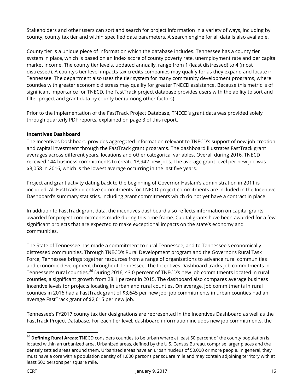Stakeholders and other users can sort and search for project information in a variety of ways, including by county, county tax tier and within specified date parameters. A search engine for all data is also available.

County tier is a unique piece of information which the database includes. Tennessee has a county tier system in place, which is based on an index score of county poverty rate, unemployment rate and per capita market income. The county tier levels, updated annually, range from 1 (least distressed) to 4 (most distressed). A county's tier level impacts tax credits companies may qualify for as they expand and locate in Tennessee. The department also uses the tier system for many community development programs, where counties with greater economic distress may qualify for greater TNECD assistance. Because this metric is of significant importance for TNECD, the FastTrack project database provides users with the ability to sort and filter project and grant data by county tier (among other factors).

Prior to the implementation of the FastTrack Project Database, TNECD's grant data was provided solely through quarterly PDF reports, explained on page 3 of this report.

#### **Incentives Dashboard**

The Incentives Dashboard provides aggregated information relevant to TNECD's support of new job creation and capital investment through the FastTrack grant programs. The dashboard illustrates FastTrack grant averages across different years, locations and other categorical variables. Overall during 2016, TNECD received 144 business commitments to create 18,942 new jobs. The average grant level per new job was \$3,058 in 2016, which is the lowest average occurring in the last five years.

Project and grant activity dating back to the beginning of Governor Haslam's administration in 2011 is included. All FastTrack incentive commitments for TNECD project commitments are included in the Incentive Dashboard's summary statistics, including grant commitments which do not yet have a contract in place.

In addition to FastTrack grant data, the incentives dashboard also reflects information on capital grants awarded for project commitments made during this time frame. Capital grants have been awarded for a few significant projects that are expected to make exceptional impacts on the state's economy and communities.

The State of Tennessee has made a commitment to rural Tennessee, and to Tennessee's economically distressed communities. Through TNECD's Rural Development program and the Governor's Rural Task Force, Tennessee brings together resources from a range of organizations to advance rural communities and economic development throughout Tennessee. The Incentives Dashboard tracks job commitments in Tennessee's rural counties.<sup>[26](#page-16-0)</sup> During 2016, 43.0 percent of TNECD's new job commitments located in rural counties, a significant growth from 28.1 percent in 2015. The dashboard also compares average business incentive levels for projects locating in urban and rural counties. On average, job commitments in rural counties in 2016 had a FastTrack grant of \$3,645 per new job; job commitments in urban counties had an average FastTrack grant of \$2,615 per new job.

Tennessee's FY2017 county tax tier designations are represented in the Incentives Dashboard as well as the FastTrack Project Database. For each tier level, dashboard information includes new job commitments, the

<span id="page-16-0"></span>j <sup>26</sup> **Defining Rural Areas:** TNECD considers counties to be urban where at least 50 percent of the county population is located within an urbanized area. Urbanized areas, defined by the U.S. Census Bureau, comprise larger places and the densely settled areas around them. Urbanized areas have an urban nucleus of 50,000 or more people. In general, they must have a core with a population density of 1,000 persons per square mile and may contain adjoining territory with at least 500 persons per square mile.